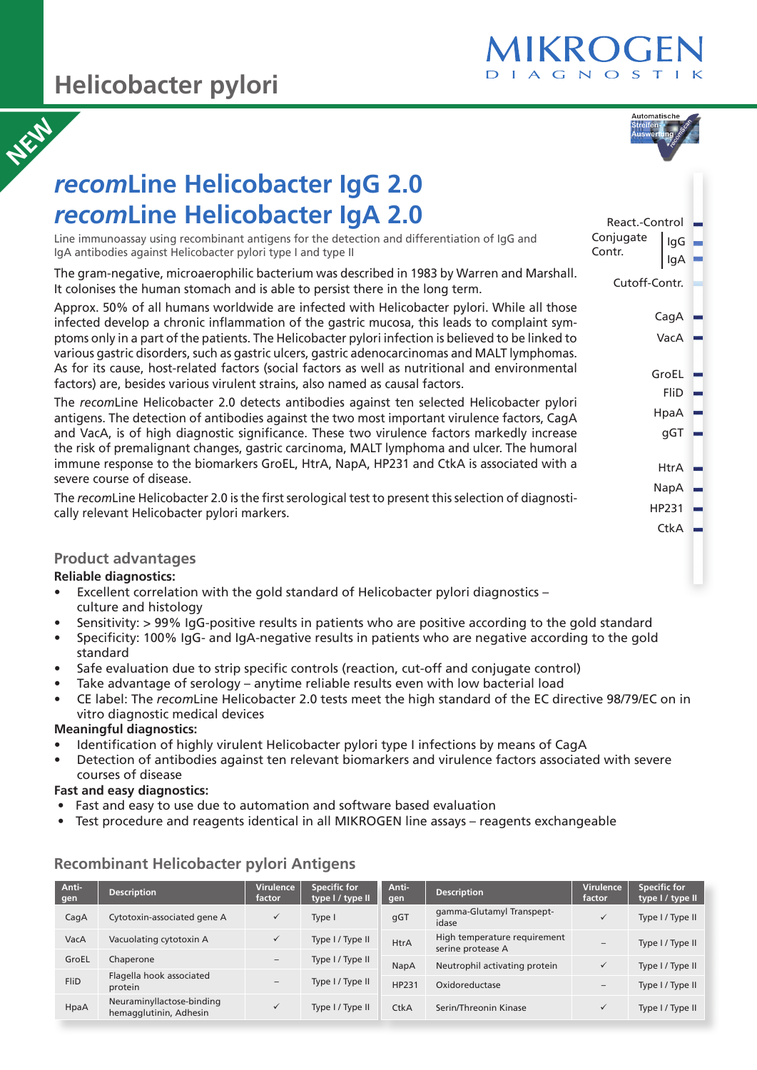# **Helicobacter pylori**



React.-Control

Cutoff-Contr.

CagA VacA

IgG IgA

GroEL FliD HpaA gGT

HtrA NapA HP231 **CtkA** 

Conjugate Contr.

# *recom***Line Helicobacter IgG 2.0** *recom***Line Helicobacter IgA 2.0 NEW**

Line immunoassay using recombinant antigens for the detection and differentiation of IgG and IgA antibodies against Helicobacter pylori type I and type II

The gram-negative, microaerophilic bacterium was described in 1983 by Warren and Marshall. It colonises the human stomach and is able to persist there in the long term.

Approx. 50% of all humans worldwide are infected with Helicobacter pylori. While all those infected develop a chronic inflammation of the gastric mucosa, this leads to complaint symptoms only in a part of the patients. The Helicobacter pylori infection is believed to be linked to various gastric disorders, such as gastric ulcers, gastric adenocarcinomas and MALT lymphomas. As for its cause, host-related factors (social factors as well as nutritional and environmental factors) are, besides various virulent strains, also named as causal factors.

The *recom*Line Helicobacter 2.0 detects antibodies against ten selected Helicobacter pylori antigens. The detection of antibodies against the two most important virulence factors, CagA and VacA, is of high diagnostic significance. These two virulence factors markedly increase the risk of premalignant changes, gastric carcinoma, MALT lymphoma and ulcer. The humoral immune response to the biomarkers GroEL, HtrA, NapA, HP231 and CtkA is associated with a severe course of disease.

The *recom*Line Helicobacter 2.0 is the first serological test to present this selection of diagnostically relevant Helicobacter pylori markers.

# **Product advantages**

#### **Reliable diagnostics:**

- Excellent correlation with the gold standard of Helicobacter pylori diagnostics culture and histology
- Sensitivity: > 99% IgG-positive results in patients who are positive according to the gold standard
- Specificity: 100% IgG- and IgA-negative results in patients who are negative according to the gold standard
- Safe evaluation due to strip specific controls (reaction, cut-off and conjugate control)
- Take advantage of serology anytime reliable results even with low bacterial load
- CE label: The *recom*Line Helicobacter 2.0 tests meet the high standard of the EC directive 98/79/EC on in vitro diagnostic medical devices

# **Meaningful diagnostics:**

- Identification of highly virulent Helicobacter pylori type I infections by means of CagA
- Detection of antibodies against ten relevant biomarkers and virulence factors associated with severe courses of disease

# **Fast and easy diagnostics:**

- Fast and easy to use due to automation and software based evaluation
- Test procedure and reagents identical in all MIKROGEN line assays reagents exchangeable

| Anti-<br>gen | <b>Description</b>                                  | <b>Virulence</b><br>factor | <b>Specific for</b><br>type I / type II | Anti-<br>gen | <b>Description</b>                                | <b>Virulence</b><br>factor | <b>Specific for</b><br>type I / type II |
|--------------|-----------------------------------------------------|----------------------------|-----------------------------------------|--------------|---------------------------------------------------|----------------------------|-----------------------------------------|
| CagA         | Cytotoxin-associated gene A                         | $\checkmark$               | Type I                                  | qGT          | qamma-Glutamyl Transpept-<br>idase                |                            | Type I / Type II                        |
| VacA         | Vacuolating cytotoxin A                             | ✓                          | Type I / Type II                        | <b>HtrA</b>  | High temperature requirement<br>serine protease A | $\overline{\phantom{a}}$   | Type I / Type II                        |
| GroEL        | Chaperone                                           | $\overline{\phantom{0}}$   | Type I / Type II                        | NapA         | Neutrophil activating protein                     |                            | Type I / Type II                        |
| <b>FliD</b>  | Flagella hook associated                            | $\overline{\phantom{0}}$   | Type I / Type II                        | HP231        | Oxidoreductase                                    |                            |                                         |
|              | protein                                             |                            |                                         |              |                                                   | $\overline{\phantom{a}}$   | Type I / Type II                        |
| HpaA         | Neuraminyllactose-binding<br>hemagglutinin, Adhesin |                            | Type I / Type II                        | <b>CtkA</b>  | Serin/Threonin Kinase                             | $\checkmark$               | Type I / Type II                        |

# **Recombinant Helicobacter pylori Antigens**